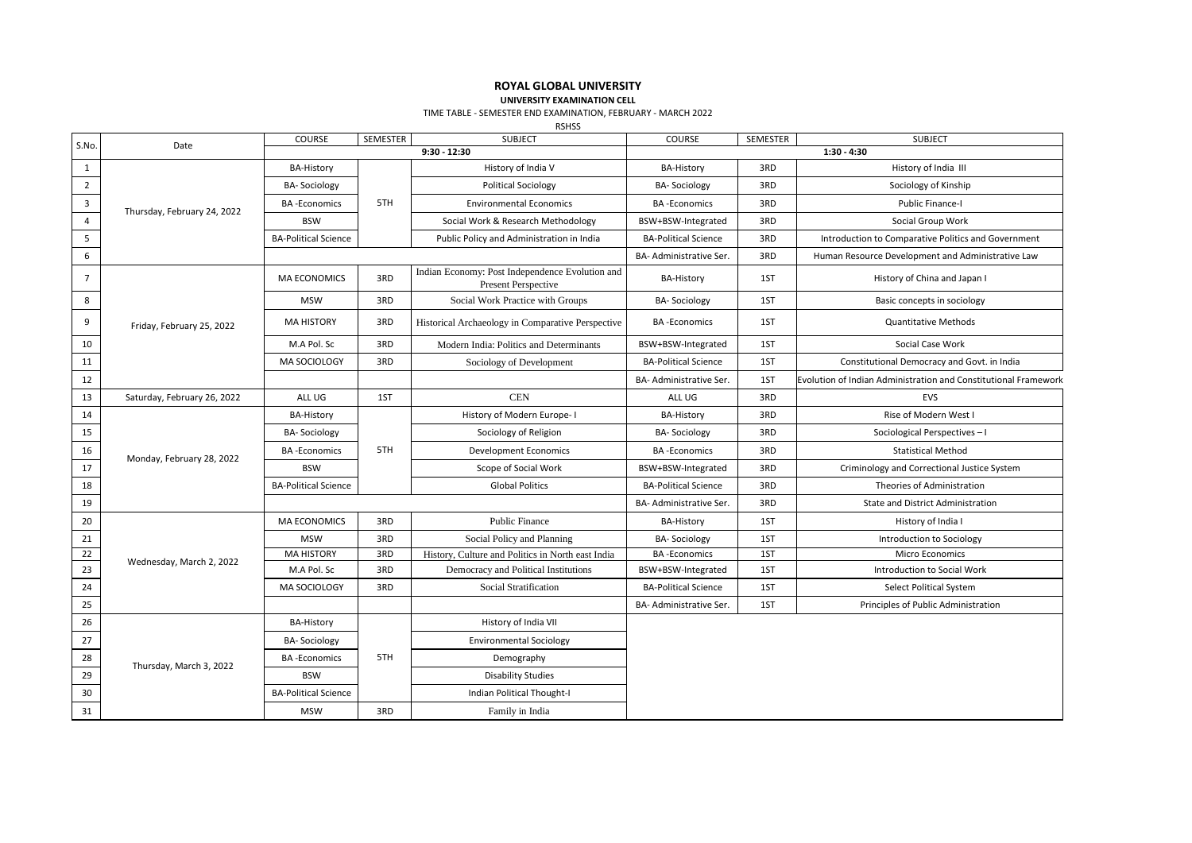## **ROYAL GLOBAL UNIVERSITY**

**UNIVERSITY EXAMINATION CELL**

TIME TABLE - SEMESTER END EXAMINATION, FEBRUARY - MARCH 2022

RSHSS

| S.No.          | Date                        | <b>COURSE</b>               | SEMESTER | <b>SUBJECT</b>                                                         | COURSE                      | SEMESTER | <b>SUBJECT</b>                                                  |
|----------------|-----------------------------|-----------------------------|----------|------------------------------------------------------------------------|-----------------------------|----------|-----------------------------------------------------------------|
|                |                             | $9:30 - 12:30$              |          |                                                                        | $1:30 - 4:30$               |          |                                                                 |
| 1              | Thursday, February 24, 2022 | <b>BA-History</b>           | 5TH      | History of India V                                                     | <b>BA-History</b>           | 3RD      | History of India III                                            |
| $\overline{2}$ |                             | <b>BA-Sociology</b>         |          | <b>Political Sociology</b>                                             | <b>BA-Sociology</b>         | 3RD      | Sociology of Kinship                                            |
| $\mathbf{3}$   |                             | <b>BA-Economics</b>         |          | <b>Environmental Economics</b>                                         | <b>BA-Economics</b>         | 3RD      | Public Finance-I                                                |
| $\overline{4}$ |                             | <b>BSW</b>                  |          | Social Work & Research Methodology                                     | BSW+BSW-Integrated          | 3RD      | Social Group Work                                               |
| 5              |                             | <b>BA-Political Science</b> |          | Public Policy and Administration in India                              | <b>BA-Political Science</b> | 3RD      | Introduction to Comparative Politics and Government             |
| 6              |                             |                             |          |                                                                        | BA- Administrative Ser.     | 3RD      | Human Resource Development and Administrative Law               |
| $\overline{7}$ | Friday, February 25, 2022   | <b>MA ECONOMICS</b>         | 3RD      | Indian Economy: Post Independence Evolution and<br>Present Perspective | <b>BA-History</b>           | 1ST      | History of China and Japan I                                    |
| 8              |                             | <b>MSW</b>                  | 3RD      | Social Work Practice with Groups                                       | <b>BA-Sociology</b>         | 1ST      | Basic concepts in sociology                                     |
| 9              |                             | <b>MA HISTORY</b>           | 3RD      | Historical Archaeology in Comparative Perspective                      | <b>BA-Economics</b>         | 1ST      | <b>Quantitative Methods</b>                                     |
| 10             |                             | M.A Pol. Sc                 | 3RD      | Modern India: Politics and Determinants                                | BSW+BSW-Integrated          | 1ST      | Social Case Work                                                |
| 11             |                             | MA SOCIOLOGY                | 3RD      | Sociology of Development                                               | <b>BA-Political Science</b> | 1ST      | Constitutional Democracy and Govt. in India                     |
| 12             |                             |                             |          |                                                                        | BA- Administrative Ser.     | 1ST      | Evolution of Indian Administration and Constitutional Framework |
| 13             | Saturday, February 26, 2022 | ALL UG                      | 1ST      | <b>CEN</b>                                                             | ALL UG                      | 3RD      | EVS                                                             |
| 14             | Monday, February 28, 2022   | <b>BA-History</b>           | 5TH      | History of Modern Europe- I                                            | <b>BA-History</b>           | 3RD      | Rise of Modern West I                                           |
| 15             |                             | <b>BA-Sociology</b>         |          | Sociology of Religion                                                  | BA-Sociology                | 3RD      | Sociological Perspectives-I                                     |
| 16             |                             | <b>BA-Economics</b>         |          | <b>Development Economics</b>                                           | <b>BA-Economics</b>         | 3RD      | <b>Statistical Method</b>                                       |
| 17             |                             | <b>BSW</b>                  |          | Scope of Social Work                                                   | BSW+BSW-Integrated          | 3RD      | Criminology and Correctional Justice System                     |
| 18             |                             | <b>BA-Political Science</b> |          | <b>Global Politics</b>                                                 | <b>BA-Political Science</b> | 3RD      | Theories of Administration                                      |
| 19             |                             |                             |          |                                                                        | BA- Administrative Ser.     | 3RD      | State and District Administration                               |
| 20             |                             | <b>MA ECONOMICS</b>         | 3RD      | <b>Public Finance</b>                                                  | <b>BA-History</b>           | 1ST      | History of India I                                              |
| 21             |                             | <b>MSW</b>                  | 3RD      | Social Policy and Planning                                             | <b>BA-Sociology</b>         | 1ST      | Introduction to Sociology                                       |
| 22             |                             | <b>MA HISTORY</b>           | 3RD      | History, Culture and Politics in North east India                      | <b>BA-Economics</b>         | 1ST      | <b>Micro Economics</b>                                          |
| 23             | Wednesday, March 2, 2022    | M.A Pol. Sc                 | 3RD      | Democracy and Political Institutions                                   | BSW+BSW-Integrated          | 1ST      | Introduction to Social Work                                     |
| 24             |                             | MA SOCIOLOGY                | 3RD      | Social Stratification                                                  | <b>BA-Political Science</b> | 1ST      | Select Political System                                         |
| 25             |                             |                             |          |                                                                        | BA- Administrative Ser.     | 1ST      | Principles of Public Administration                             |
| 26             | Thursday, March 3, 2022     | <b>BA-History</b>           |          | History of India VII                                                   |                             |          |                                                                 |
| 27             |                             | <b>BA-Sociology</b>         |          | <b>Environmental Sociology</b>                                         |                             |          |                                                                 |
| 28             |                             | <b>BA-Economics</b>         | 5TH      | Demography                                                             |                             |          |                                                                 |
| 29             |                             | <b>BSW</b>                  |          | <b>Disability Studies</b>                                              |                             |          |                                                                 |
| 30             |                             | <b>BA-Political Science</b> |          | <b>Indian Political Thought-I</b>                                      |                             |          |                                                                 |
| 31             |                             | <b>MSW</b>                  | 3RD      | Family in India                                                        |                             |          |                                                                 |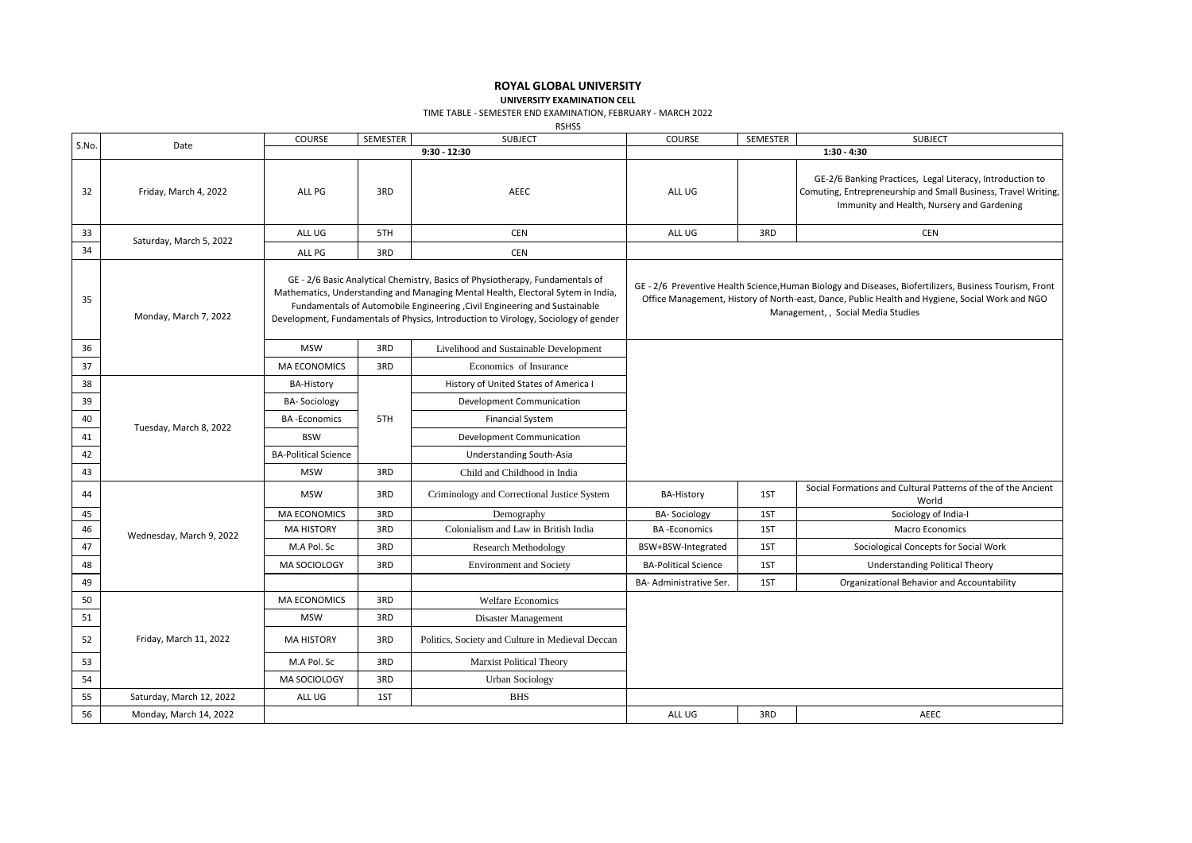## **ROYAL GLOBAL UNIVERSITY**

**UNIVERSITY EXAMINATION CELL**

TIME TABLE - SEMESTER END EXAMINATION, FEBRUARY - MARCH 2022

RSHSS

| S.No. | Date                     | COURSE                                                                                                                                                                                                                                                                                                                                | SEMESTER | <b>SUBJECT</b>                                   | COURSE                                                                                                                                                                                                                                           | SEMESTER | <b>SUBJECT</b>                                                                                                                                                            |
|-------|--------------------------|---------------------------------------------------------------------------------------------------------------------------------------------------------------------------------------------------------------------------------------------------------------------------------------------------------------------------------------|----------|--------------------------------------------------|--------------------------------------------------------------------------------------------------------------------------------------------------------------------------------------------------------------------------------------------------|----------|---------------------------------------------------------------------------------------------------------------------------------------------------------------------------|
|       |                          | $9:30 - 12:30$                                                                                                                                                                                                                                                                                                                        |          | $1:30 - 4:30$                                    |                                                                                                                                                                                                                                                  |          |                                                                                                                                                                           |
| 32    | Friday, March 4, 2022    | ALL PG                                                                                                                                                                                                                                                                                                                                | 3RD      | AEEC                                             | ALL UG                                                                                                                                                                                                                                           |          | GE-2/6 Banking Practices, Legal Literacy, Introduction to<br>Comuting, Entrepreneurship and Small Business, Travel Writing,<br>Immunity and Health, Nursery and Gardening |
| 33    |                          | ALL UG                                                                                                                                                                                                                                                                                                                                | 5TH      | <b>CEN</b>                                       | ALL UG                                                                                                                                                                                                                                           | 3RD      | <b>CEN</b>                                                                                                                                                                |
| 34    | Saturday, March 5, 2022  | ALL PG                                                                                                                                                                                                                                                                                                                                | 3RD      | <b>CEN</b>                                       |                                                                                                                                                                                                                                                  |          |                                                                                                                                                                           |
| 35    | Monday, March 7, 2022    | GE - 2/6 Basic Analytical Chemistry, Basics of Physiotherapy, Fundamentals of<br>Mathematics, Understanding and Managing Mental Health, Electoral Sytem in India,<br>Fundamentals of Automobile Engineering, Civil Engineering and Sustainable<br>Development, Fundamentals of Physics, Introduction to Virology, Sociology of gender |          |                                                  | GE - 2/6 Preventive Health Science, Human Biology and Diseases, Biofertilizers, Business Tourism, Front<br>Office Management, History of North-east, Dance, Public Health and Hygiene, Social Work and NGO<br>Management, , Social Media Studies |          |                                                                                                                                                                           |
| 36    |                          | <b>MSW</b>                                                                                                                                                                                                                                                                                                                            | 3RD      | Livelihood and Sustainable Development           |                                                                                                                                                                                                                                                  |          |                                                                                                                                                                           |
| 37    |                          | <b>MA ECONOMICS</b>                                                                                                                                                                                                                                                                                                                   | 3RD      | Economics of Insurance                           |                                                                                                                                                                                                                                                  |          |                                                                                                                                                                           |
| 38    |                          | <b>BA-History</b>                                                                                                                                                                                                                                                                                                                     |          | History of United States of America I            |                                                                                                                                                                                                                                                  |          |                                                                                                                                                                           |
| 39    | Tuesday, March 8, 2022   | <b>BA-Sociology</b>                                                                                                                                                                                                                                                                                                                   |          | Development Communication                        |                                                                                                                                                                                                                                                  |          |                                                                                                                                                                           |
| 40    |                          | <b>BA-Economics</b>                                                                                                                                                                                                                                                                                                                   | 5TH      | <b>Financial System</b>                          |                                                                                                                                                                                                                                                  |          |                                                                                                                                                                           |
| 41    |                          | <b>BSW</b>                                                                                                                                                                                                                                                                                                                            |          | Development Communication                        |                                                                                                                                                                                                                                                  |          |                                                                                                                                                                           |
| 42    |                          | <b>BA-Political Science</b>                                                                                                                                                                                                                                                                                                           |          | <b>Understanding South-Asia</b>                  |                                                                                                                                                                                                                                                  |          |                                                                                                                                                                           |
| 43    |                          | <b>MSW</b>                                                                                                                                                                                                                                                                                                                            | 3RD      | Child and Childhood in India                     |                                                                                                                                                                                                                                                  |          |                                                                                                                                                                           |
| 44    |                          | <b>MSW</b>                                                                                                                                                                                                                                                                                                                            | 3RD      | Criminology and Correctional Justice System      | <b>BA-History</b>                                                                                                                                                                                                                                | 1ST      | Social Formations and Cultural Patterns of the of the Ancient<br>World                                                                                                    |
| 45    |                          | MA ECONOMICS                                                                                                                                                                                                                                                                                                                          | 3RD      | Demography                                       | <b>BA-Sociology</b>                                                                                                                                                                                                                              | 1ST      | Sociology of India-I                                                                                                                                                      |
| 46    | Wednesday, March 9, 2022 | <b>MA HISTORY</b>                                                                                                                                                                                                                                                                                                                     | 3RD      | Colonialism and Law in British India             | <b>BA-Economics</b>                                                                                                                                                                                                                              | 1ST      | <b>Macro Economics</b>                                                                                                                                                    |
| 47    |                          | M.A Pol. Sc                                                                                                                                                                                                                                                                                                                           | 3RD      | <b>Research Methodology</b>                      | BSW+BSW-Integrated                                                                                                                                                                                                                               | 1ST      | Sociological Concepts for Social Work                                                                                                                                     |
| 48    |                          | MA SOCIOLOGY                                                                                                                                                                                                                                                                                                                          | 3RD      | <b>Environment</b> and Society                   | <b>BA-Political Science</b>                                                                                                                                                                                                                      | 1ST      | <b>Understanding Political Theory</b>                                                                                                                                     |
| 49    |                          |                                                                                                                                                                                                                                                                                                                                       |          |                                                  | BA- Administrative Ser.                                                                                                                                                                                                                          | 1ST      | Organizational Behavior and Accountability                                                                                                                                |
| 50    | Friday, March 11, 2022   | <b>MA ECONOMICS</b>                                                                                                                                                                                                                                                                                                                   | 3RD      | <b>Welfare Economics</b>                         |                                                                                                                                                                                                                                                  |          |                                                                                                                                                                           |
| 51    |                          | <b>MSW</b>                                                                                                                                                                                                                                                                                                                            | 3RD      | Disaster Management                              |                                                                                                                                                                                                                                                  |          |                                                                                                                                                                           |
| 52    |                          | <b>MA HISTORY</b>                                                                                                                                                                                                                                                                                                                     | 3RD      | Politics, Society and Culture in Medieval Deccan |                                                                                                                                                                                                                                                  |          |                                                                                                                                                                           |
| 53    |                          | M.A Pol. Sc                                                                                                                                                                                                                                                                                                                           | 3RD      | <b>Marxist Political Theory</b>                  |                                                                                                                                                                                                                                                  |          |                                                                                                                                                                           |
| 54    |                          | MA SOCIOLOGY                                                                                                                                                                                                                                                                                                                          | 3RD      | <b>Urban Sociology</b>                           |                                                                                                                                                                                                                                                  |          |                                                                                                                                                                           |
| 55    | Saturday, March 12, 2022 | ALL UG                                                                                                                                                                                                                                                                                                                                | 1ST      | <b>BHS</b>                                       |                                                                                                                                                                                                                                                  |          |                                                                                                                                                                           |
| 56    | Monday, March 14, 2022   |                                                                                                                                                                                                                                                                                                                                       |          |                                                  | ALL UG                                                                                                                                                                                                                                           | 3RD      | AEEC                                                                                                                                                                      |